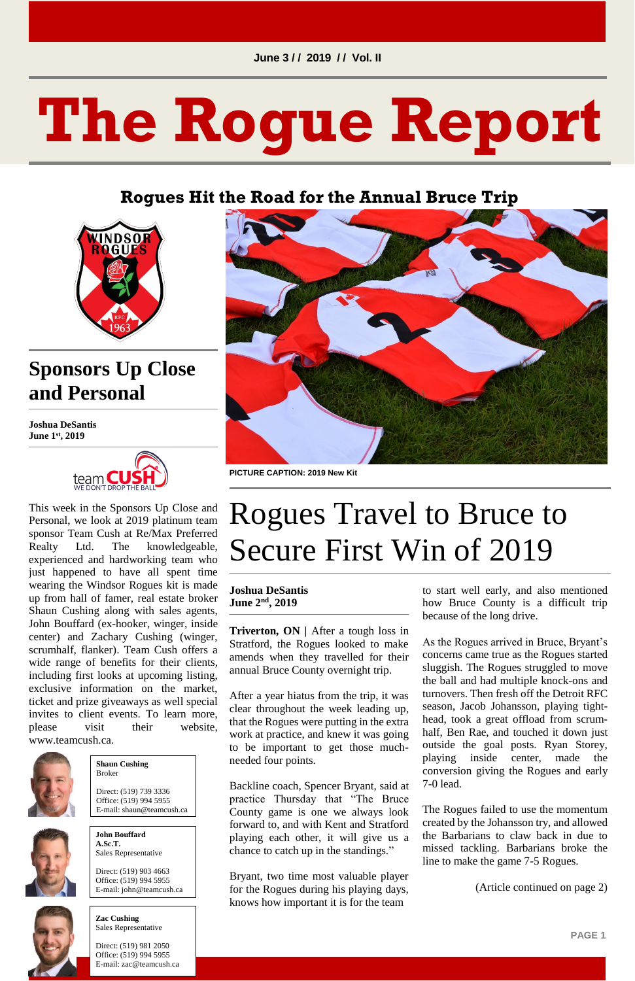**PAGE 1**

# **The Rogue Report**

#### **Rogues Hit the Road for the Annual Bruce Trip**



## **Sponsors Up Close and Personal**

**Joshua DeSantis June 1st, 2019**



please visit their website, www.teamcush.ca.



This week in the Sponsors Up Close and Personal, we look at 2019 platinum team sponsor Team Cush at Re/Max Preferred Realty Ltd. The knowledgeable, experienced and hardworking team who just happened to have all spent time wearing the Windsor Rogues kit is made up from hall of famer, real estate broker Shaun Cushing along with sales agents, John Bouffard (ex-hooker, winger, inside center) and Zachary Cushing (winger, scrumhalf, flanker). Team Cush offers a wide range of benefits for their clients, including first looks at upcoming listing, exclusive information on the market, ticket and prize giveaways as well special invites to client events. To learn more,



**Triverton, ON** | After a tough loss in Stratford, the Rogues looked to make amends when they travelled for their annual Bruce County overnight trip.

**PICTURE CAPTION: 2019 New Kit**

# Rogues Travel to Bruce to Secure First Win of 2019

#### **Joshua DeSantis June 2nd, 2019**

After a year hiatus from the trip, it was clear throughout the week leading up, that the Rogues were putting in the extra work at practice, and knew it was going to be important to get those muchneeded four points.

Backline coach, Spencer Bryant, said at practice Thursday that "The Bruce County game is one we always look forward to, and with Kent and Stratford playing each other, it will give us a chance to catch up in the standings."

Bryant, two time most valuable player for the Rogues during his playing days, knows how important it is for the team

to start well early, and also mentioned how Bruce County is a difficult trip because of the long drive.

As the Rogues arrived in Bruce, Bryant's concerns came true as the Rogues started sluggish. The Rogues struggled to move the ball and had multiple knock-ons and turnovers. Then fresh off the Detroit RFC season, Jacob Johansson, playing tighthead, took a great offload from scrumhalf, Ben Rae, and touched it down just outside the goal posts. Ryan Storey, playing inside center, made the conversion giving the Rogues and early 7-0 lead.

The Rogues failed to use the momentum created by the Johansson try, and allowed the Barbarians to claw back in due to missed tackling. Barbarians broke the line to make the game 7-5 Rogues.

(Article continued on page 2)

#### **Shaun Cushing** Broker

Direct: (519) 739 3336 Office: (519) 994 5955 E-mail: shaun@teamcush.ca



**John Bouffard A.Sc.T.** Sales Representative

Direct: (519) 903 4663 Office: (519) 994 5955 E-mail: john@teamcush.ca



**Zac Cushing** Sales Representative

Direct: (519) 981 2050 Office: (519) 994 5955 E-mail: zac@teamcush.ca